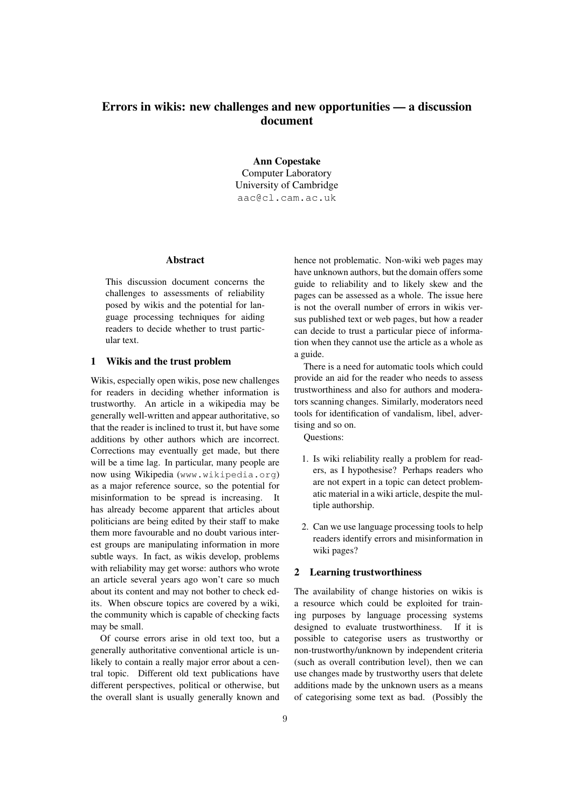# Errors in wikis: new challenges and new opportunities — a discussion document

Ann Copestake Computer Laboratory University of Cambridge aac@cl.cam.ac.uk

## Abstract

This discussion document concerns the challenges to assessments of reliability posed by wikis and the potential for language processing techniques for aiding readers to decide whether to trust particular text.

# 1 Wikis and the trust problem

Wikis, especially open wikis, pose new challenges for readers in deciding whether information is trustworthy. An article in a wikipedia may be generally well-written and appear authoritative, so that the reader is inclined to trust it, but have some additions by other authors which are incorrect. Corrections may eventually get made, but there will be a time lag. In particular, many people are now using Wikipedia (www.wikipedia.org) as a major reference source, so the potential for misinformation to be spread is increasing. It has already become apparent that articles about politicians are being edited by their staff to make them more favourable and no doubt various interest groups are manipulating information in more subtle ways. In fact, as wikis develop, problems with reliability may get worse: authors who wrote an article several years ago won't care so much about its content and may not bother to check edits. When obscure topics are covered by a wiki, the community which is capable of checking facts may be small.

Of course errors arise in old text too, but a generally authoritative conventional article is unlikely to contain a really major error about a central topic. Different old text publications have different perspectives, political or otherwise, but the overall slant is usually generally known and hence not problematic. Non-wiki web pages may have unknown authors, but the domain offers some guide to reliability and to likely skew and the pages can be assessed as a whole. The issue here is not the overall number of errors in wikis versus published text or web pages, but how a reader can decide to trust a particular piece of information when they cannot use the article as a whole as a guide.

There is a need for automatic tools which could provide an aid for the reader who needs to assess trustworthiness and also for authors and moderators scanning changes. Similarly, moderators need tools for identification of vandalism, libel, advertising and so on.

Questions:

- 1. Is wiki reliability really a problem for readers, as I hypothesise? Perhaps readers who are not expert in a topic can detect problematic material in a wiki article, despite the multiple authorship.
- 2. Can we use language processing tools to help readers identify errors and misinformation in wiki pages?

### 2 Learning trustworthiness

The availability of change histories on wikis is a resource which could be exploited for training purposes by language processing systems designed to evaluate trustworthiness. If it is possible to categorise users as trustworthy or non-trustworthy/unknown by independent criteria (such as overall contribution level), then we can use changes made by trustworthy users that delete additions made by the unknown users as a means of categorising some text as bad. (Possibly the